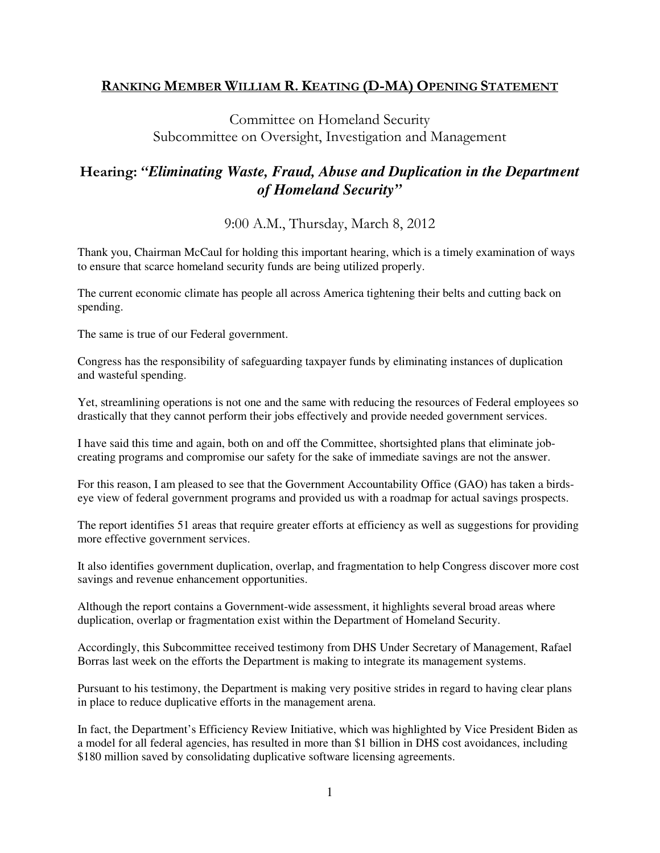## RANKING MEMBER WILLIAM R. KEATING (D-MA) OPENING STATEMENT

Committee on Homeland Security Subcommittee on Oversight, Investigation and Management

## Hearing: *"Eliminating Waste, Fraud, Abuse and Duplication in the Department of Homeland Security"*

9:00 A.M., Thursday, March 8, 2012

Thank you, Chairman McCaul for holding this important hearing, which is a timely examination of ways to ensure that scarce homeland security funds are being utilized properly.

The current economic climate has people all across America tightening their belts and cutting back on spending.

The same is true of our Federal government.

Congress has the responsibility of safeguarding taxpayer funds by eliminating instances of duplication and wasteful spending.

Yet, streamlining operations is not one and the same with reducing the resources of Federal employees so drastically that they cannot perform their jobs effectively and provide needed government services.

I have said this time and again, both on and off the Committee, shortsighted plans that eliminate jobcreating programs and compromise our safety for the sake of immediate savings are not the answer.

For this reason, I am pleased to see that the Government Accountability Office (GAO) has taken a birdseye view of federal government programs and provided us with a roadmap for actual savings prospects.

The report identifies 51 areas that require greater efforts at efficiency as well as suggestions for providing more effective government services.

It also identifies government duplication, overlap, and fragmentation to help Congress discover more cost savings and revenue enhancement opportunities.

Although the report contains a Government-wide assessment, it highlights several broad areas where duplication, overlap or fragmentation exist within the Department of Homeland Security.

Accordingly, this Subcommittee received testimony from DHS Under Secretary of Management, Rafael Borras last week on the efforts the Department is making to integrate its management systems.

Pursuant to his testimony, the Department is making very positive strides in regard to having clear plans in place to reduce duplicative efforts in the management arena.

In fact, the Department's Efficiency Review Initiative, which was highlighted by Vice President Biden as a model for all federal agencies, has resulted in more than \$1 billion in DHS cost avoidances, including \$180 million saved by consolidating duplicative software licensing agreements.